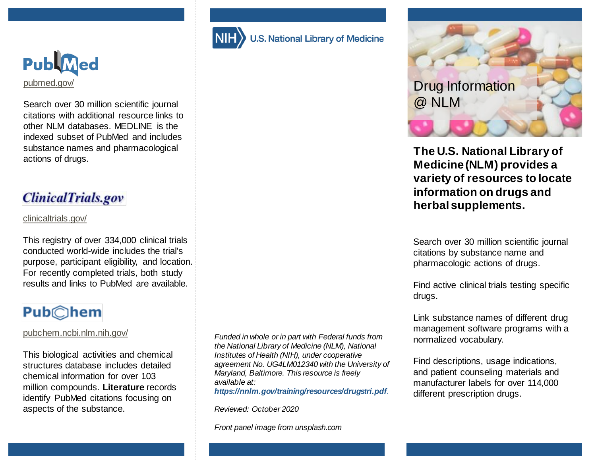

Search over 30 million scientific journal citations with additional resource links to other NLM databases. MEDLINE is the indexed subset of PubMed and includes substance names and pharmacological actions of drugs.

### **ClinicalTrials.gov**

#### [clinicaltrials.gov/](https://clinicaltrials.gov/)

This registry of over 334,000 clinical trials conducted world-wide includes the trial's purpose, participant eligibility, and location. For recently completed trials, both study results and links to PubMed are available.

# **Pub**©hem

#### [pubchem.ncbi.nlm.nih.gov/](https://pubchem.ncbi.nlm.nih.gov/)

This biological activities and chemical structures database includes detailed chemical information for over 103 million compounds. **Literature** records identify PubMed citations focusing on aspects of the substance.

*Funded in whole or in part with Federal funds from the National Library of Medicine (NLM), National Institutes of Health (NIH), under cooperative agreement No. UG4LM012340 with the University of Maryland, Baltimore. This resource is freely available at: https://nnlm.gov/training/resources/drugstri.pdf*.

.S. National Library of Medicine

*Reviewed: October 2020*

*Front panel image from unsplash.com*



**The U.S. National Library of Medicine (NLM) provides a variety of resources to locate information on drugs and herbal supplements.**

Search over 30 million scientific journal citations by substance name and pharmacologic actions of drugs.

Find active clinical trials testing specific drugs.

Link substance names of different drug management software programs with a normalized vocabulary.

Find descriptions, usage indications, and patient counseling materials and manufacturer labels for over 114,000 different prescription drugs.